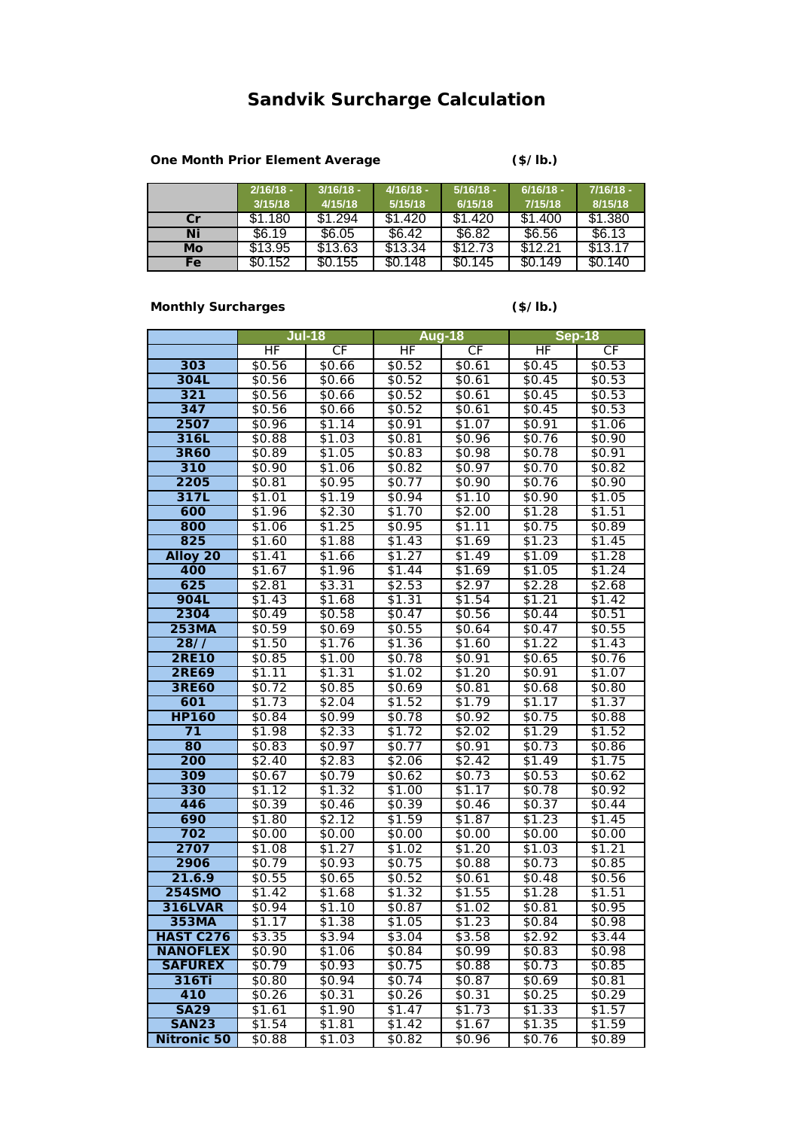## **Sandvik Surcharge Calculation**

## **One Month Prior Element Average**

**(\$/lb.)**

|     | $2/16/18 -$ | $3/16/18 -$ | $4/16/18 -$ | $5/16/18 -$ | $6/16/18 -$ | $7/16/18 -$ |
|-----|-------------|-------------|-------------|-------------|-------------|-------------|
|     | 3/15/18     | 4/15/18     | 5/15/18     | 6/15/18     | 7/15/18     | 8/15/18     |
| Cr  | \$1.180     | \$1.294     | \$1.420     | \$1.420     | \$1.400     | \$1,380     |
| Ni  | \$6.19      | \$6.05      | \$6.42      | \$6.82      | \$6.56      | \$6.13      |
| Mo  | \$13.95     | \$13.63     | \$13.34     | \$12.73     | \$12.21     | \$13.17     |
| Fe. | \$0.152     | \$0.155     | \$0.148     | \$0.145     | \$0.149     | \$0.140     |

## **Monthly Surcharges**

**(\$/lb.)**

|                    | $Jul-18$         |                    | <b>Aug-18</b>      |                  | Sep-18           |                    |
|--------------------|------------------|--------------------|--------------------|------------------|------------------|--------------------|
|                    | $\overline{HF}$  | <b>CF</b>          | $\overline{HF}$    | <b>CF</b>        | $\overline{HF}$  | <b>CF</b>          |
| 303                | \$0.56           | \$0.66             | \$0.52             | \$0.61           | \$0.45           | \$0.53             |
| 304L               | \$0.56           | \$0.66             | \$0.52             | \$0.61           | \$0.45           | \$0.53             |
| 321                | \$0.56           | \$0.66             | \$0.52             | \$0.61           | \$0.45           | \$0.53             |
| 347                | \$0.56           | \$0.66             | \$0.52             | \$0.61           | \$0.45           | \$0.53             |
| 2507               | \$0.96           | $\sqrt{$1.14}$     | \$0.91             | \$1.07           | \$0.91           | \$1.06             |
| 316L               | \$0.88           | \$1.03             | \$0.81             | \$0.96           | \$0.76           | \$0.90             |
| 3R60               | \$0.89           | \$1.05             | \$0.83             | \$0.98           | \$0.78           | \$0.91             |
| 310                | \$0.90           | \$1.06             | \$0.82             | \$0.97           | \$0.70           | \$0.82             |
| 2205               | \$0.81           | \$0.95             | \$0.77             | \$0.90           | \$0.76           | \$0.90             |
| 317L               | \$1.01           | \$1.19             | \$0.94             | \$1.10           | \$0.90           | \$1.05             |
| 600                | \$1.96           | \$2.30             | \$1.70             | $\sqrt{$2.00}$   | \$1.28           | \$1.51             |
| 800                | \$1.06           | \$1.25             | \$0.95             | \$1.11           | \$0.75           | \$0.89             |
| 825                | \$1.60           | \$1.88             | \$1.43             | \$1.69           | \$1.23           | \$1.45             |
| Alloy 20           | \$1.41           | \$1.66             | \$1.27             | \$1.49           | \$1.09           | \$1.28             |
| 400                | \$1.67           | \$1.96             | \$1.44             | \$1.69           | \$1.05           | \$1.24             |
| 625                | \$2.81           | \$3.31             | \$2.53             | \$2.97           | \$2.28           | \$2.68             |
| <b>904L</b>        | \$1.43           | \$1.68             | \$1.31             | \$1.54           | \$1.21           | \$1.42             |
| 2304               | \$0.49           | \$0.58             | \$0.47             | \$0.56           | \$0.44           | \$0.51             |
| 253MA              | \$0.59           | $\sqrt{$0.69}$     | \$0.55             | $\sqrt{$0.64}$   | \$0.47           | \$0.55             |
| 28/7               | \$1.50           | \$1.76             | \$1.36             | \$1.60           | \$1.22           | \$1.43             |
| <b>2RE10</b>       | \$0.85           | \$1.00             | \$0.78             | \$0.91           | \$0.65           | \$0.76             |
| <b>2RE69</b>       | \$1.11           | \$1.31             | \$1.02             | \$1.20           | $\sqrt{$0.91}$   | \$1.07             |
| <b>3RE60</b>       | \$0.72           | \$0.85             | \$0.69             | \$0.81           | \$0.68           | \$0.80             |
| 601                | \$1.73           | \$2.04             | \$1.52             | \$1.79           | \$1.17           | \$1.37             |
| <b>HP160</b>       | \$0.84           | \$0.99             | \$0.78             | \$0.92           | \$0.75           | \$0.88             |
| 71                 | \$1.98           | \$2.33             | \$1.72             | \$2.02           | \$1.29           | \$1.52             |
| 80                 | \$0.83           | \$0.97             | $\sqrt{$0.77}$     | \$0.91           | \$0.73           | \$0.86             |
| 200                | \$2.40           | \$2.83             | \$2.06             | \$2.42           | \$1.49           | \$1.75             |
| 309                | \$0.67           | \$0.79             | \$0.62             | \$0.73           | \$0.53           | \$0.62             |
| 330                | \$1.12           | \$1.32             | \$1.00             | \$1.17           | \$0.78           | \$0.92             |
| 446                | \$0.39           | $\sqrt{$0.46}$     | \$0.39             | $\sqrt{$0.46}$   | \$0.37           | \$0.44             |
| 690                | \$1.80           | \$2.12             | \$1.59             | \$1.87           | \$1.23           | \$1.45             |
| 702<br>2707        | \$0.00           | $\sqrt{$0.00}$     | $\sqrt{$0.00}$     | $\sqrt{$0.00}$   | $\sqrt{$0.00}$   | \$0.00             |
| 2906               | \$1.08           | \$1.27             | \$1.02             | \$1.20           | \$1.03           | \$1.21             |
| 21.6.9             | \$0.79<br>\$0.55 | \$0.93<br>\$0.65   | \$0.75<br>\$0.52   | \$0.88<br>\$0.61 | \$0.73<br>\$0.48 | \$0.85<br>\$0.56   |
| <b>254SMO</b>      | \$1.42           | \$1.68             | \$1.32             | \$1.55           | \$1.28           | \$1.51             |
| <b>316LVAR</b>     | \$0.94           | $\sqrt{$1.10}$     | \$0.87             | \$1.02           | \$0.81           | \$0.95             |
| 353MA              | \$1.17           | \$1.38             | \$1.05             | \$1.23           | \$0.84           | \$0.98             |
| <b>HAST C276</b>   | \$3.35           | \$3.94             | \$3.04             | \$3.58           | \$2.92           | \$3.44             |
| <b>NANOFLEX</b>    | \$0.90           | \$1.06             | \$0.84             | \$0.99           | \$0.83           | \$0.98             |
| <b>SAFUREX</b>     | \$0.79           | \$0.93             | \$0.75             | \$0.88           | \$0.73           | \$0.85             |
| 316Ti              | \$0.80           | \$0.94             | \$0.74             | \$0.87           | \$0.69           | \$0.81             |
| 410                | \$0.26           | \$0.31             | $\overline{$}0.26$ | \$0.31           | \$0.25           | \$0.29             |
| <b>SA29</b>        | \$1.61           | \$1.90             | \$1.47             | \$1.73           | \$1.33           | $\overline{$1.57}$ |
| <b>SAN23</b>       | \$1.54           | \$1.81             | \$1.42             | \$1.67           | \$1.35           | \$1.59             |
| <b>Nitronic 50</b> | \$0.88           | $\overline{$}1.03$ | \$0.82             | \$0.96           | \$0.76           | \$0.89             |